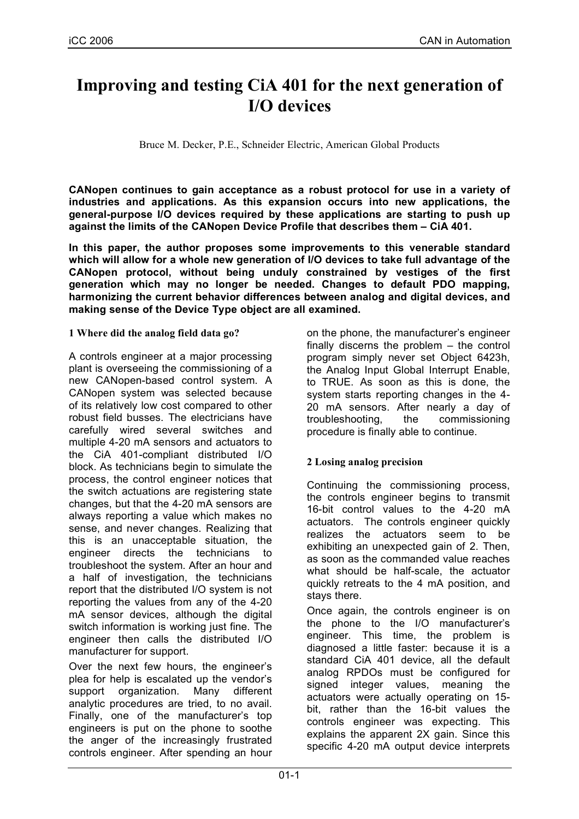# **Improving and testing CiA 401 for the next generation of I/O devices**

Bruce M. Decker, P.E., Schneider Electric, American Global Products

**CANopen continues to gain acceptance as a robust protocol for use in a variety of industries and applications. As this expansion occurs into new applications, the general-purpose I/O devices required by these applications are starting to push up against the limits of the CANopen Device Profile that describes them – CiA 401.**

**In this paper, the author proposes some improvements to this venerable standard which will allow for a whole new generation of I/O devices to take full advantage of the CANopen protocol, without being unduly constrained by vestiges of the first generation which may no longer be needed. Changes to default PDO mapping, harmonizing the current behavior differences between analog and digital devices, and making sense of the Device Type object are all examined.**

## **1 Where did the analog field data go?**

A controls engineer at a major processing plant is overseeing the commissioning of a new CANopen-based control system. A CANopen system was selected because of its relatively low cost compared to other robust field busses. The electricians have carefully wired several switches and multiple 4-20 mA sensors and actuators to the CiA 401-compliant distributed I/O block. As technicians begin to simulate the process, the control engineer notices that the switch actuations are registering state changes, but that the 4-20 mA sensors are always reporting a value which makes no sense, and never changes. Realizing that this is an unacceptable situation, the engineer directs the technicians to troubleshoot the system. After an hour and a half of investigation, the technicians report that the distributed I/O system is not reporting the values from any of the 4-20 mA sensor devices, although the digital switch information is working just fine. The engineer then calls the distributed I/O manufacturer for support.

Over the next few hours, the engineer's plea for help is escalated up the vendor's support organization. Many different analytic procedures are tried, to no avail. Finally, one of the manufacturer's top engineers is put on the phone to soothe the anger of the increasingly frustrated controls engineer. After spending an hour on the phone, the manufacturer's engineer finally discerns the problem – the control program simply never set Object 6423h, the Analog Input Global Interrupt Enable, to TRUE. As soon as this is done, the system starts reporting changes in the 4- 20 mA sensors. After nearly a day of troubleshooting, the commissioning procedure is finally able to continue.

# **2 Losing analog precision**

Continuing the commissioning process, the controls engineer begins to transmit 16-bit control values to the 4-20 mA actuators. The controls engineer quickly realizes the actuators seem to be exhibiting an unexpected gain of 2. Then, as soon as the commanded value reaches what should be half-scale, the actuator quickly retreats to the 4 mA position, and stays there.

Once again, the controls engineer is on the phone to the I/O manufacturer's engineer. This time, the problem is diagnosed a little faster: because it is a standard CiA 401 device, all the default analog RPDOs must be configured for signed integer values, meaning the actuators were actually operating on 15 bit, rather than the 16-bit values the controls engineer was expecting. This explains the apparent 2X gain. Since this specific 4-20 mA output device interprets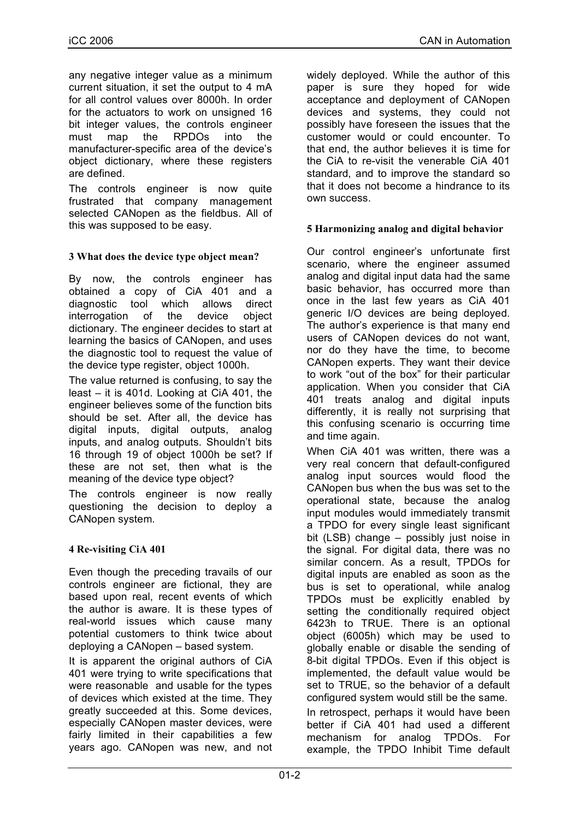any negative integer value as a minimum current situation, it set the output to 4 mA for all control values over 8000h. In order for the actuators to work on unsigned 16 bit integer values, the controls engineer must map the RPDOs into the manufacturer-specific area of the device's object dictionary, where these registers are defined.

The controls engineer is now quite frustrated that company management selected CANopen as the fieldbus. All of this was supposed to be easy.

# **3 What does the device type object mean?**

By now, the controls engineer has obtained a copy of CiA 401 and a diagnostic tool which allows direct<br>interrogation of the device obiect interrogation of the device object dictionary. The engineer decides to start at learning the basics of CANopen, and uses the diagnostic tool to request the value of the device type register, object 1000h.

The value returned is confusing, to say the least – it is 401d. Looking at CiA 401, the engineer believes some of the function bits should be set. After all, the device has digital inputs, digital outputs, analog inputs, and analog outputs. Shouldn't bits 16 through 19 of object 1000h be set? If these are not set, then what is the meaning of the device type object?

The controls engineer is now really questioning the decision to deploy a CANopen system.

# **4 Re-visiting CiA 401**

Even though the preceding travails of our controls engineer are fictional, they are based upon real, recent events of which the author is aware. It is these types of real-world issues which cause many potential customers to think twice about deploying a CANopen – based system.

It is apparent the original authors of CiA 401 were trying to write specifications that were reasonable and usable for the types of devices which existed at the time. They greatly succeeded at this. Some devices, especially CANopen master devices, were fairly limited in their capabilities a few years ago. CANopen was new, and not

widely deployed. While the author of this paper is sure they hoped for wide acceptance and deployment of CANopen devices and systems, they could not possibly have foreseen the issues that the customer would or could encounter. To that end, the author believes it is time for the CiA to re-visit the venerable CiA 401 standard, and to improve the standard so that it does not become a hindrance to its own success.

# **5 Harmonizing analog and digital behavior**

Our control engineer's unfortunate first scenario, where the engineer assumed analog and digital input data had the same basic behavior, has occurred more than once in the last few years as CiA 401 generic I/O devices are being deployed. The author's experience is that many end users of CANopen devices do not want, nor do they have the time, to become CANopen experts. They want their device to work "out of the box" for their particular application. When you consider that CiA 401 treats analog and digital inputs differently, it is really not surprising that this confusing scenario is occurring time and time again.

When CiA 401 was written, there was a very real concern that default-configured analog input sources would flood the CANopen bus when the bus was set to the operational state, because the analog input modules would immediately transmit a TPDO for every single least significant bit (LSB) change – possibly just noise in the signal. For digital data, there was no similar concern. As a result, TPDOs for digital inputs are enabled as soon as the bus is set to operational, while analog TPDOs must be explicitly enabled by setting the conditionally required object 6423h to TRUE. There is an optional object (6005h) which may be used to globally enable or disable the sending of 8-bit digital TPDOs. Even if this object is implemented, the default value would be set to TRUE, so the behavior of a default configured system would still be the same.

In retrospect, perhaps it would have been better if CiA 401 had used a different mechanism for analog TPDOs. For example, the TPDO Inhibit Time default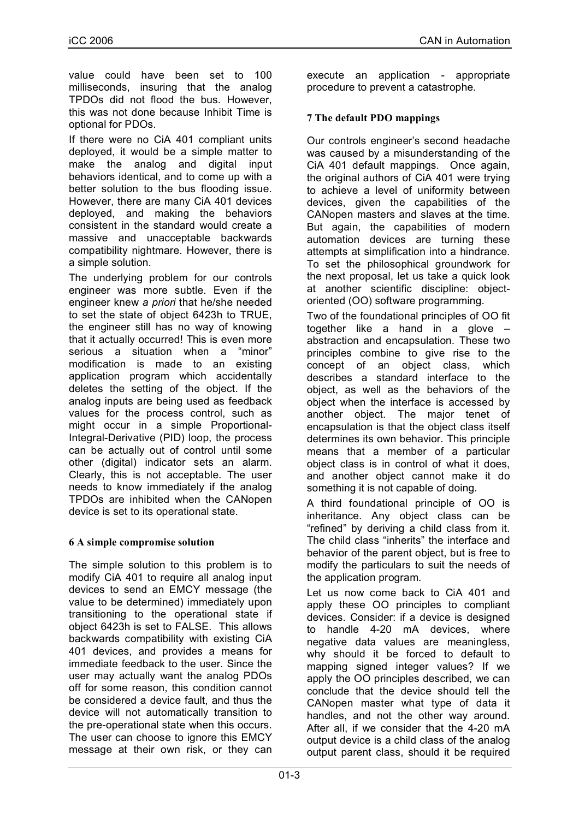value could have been set to 100 milliseconds, insuring that the analog TPDOs did not flood the bus. However, this was not done because Inhibit Time is optional for PDOs.

If there were no CiA 401 compliant units deployed, it would be a simple matter to make the analog and digital input behaviors identical, and to come up with a better solution to the bus flooding issue. However, there are many CiA 401 devices deployed, and making the behaviors consistent in the standard would create a massive and unacceptable backwards compatibility nightmare. However, there is a simple solution.

The underlying problem for our controls engineer was more subtle. Even if the engineer knew *a priori* that he/she needed to set the state of object 6423h to TRUE, the engineer still has no way of knowing that it actually occurred! This is even more serious a situation when a "minor" modification is made to an existing application program which accidentally deletes the setting of the object. If the analog inputs are being used as feedback values for the process control, such as might occur in a simple Proportional-Integral-Derivative (PID) loop, the process can be actually out of control until some other (digital) indicator sets an alarm. Clearly, this is not acceptable. The user needs to know immediately if the analog TPDOs are inhibited when the CANopen device is set to its operational state.

# **6 A simple compromise solution**

The simple solution to this problem is to modify CiA 401 to require all analog input devices to send an EMCY message (the value to be determined) immediately upon transitioning to the operational state if object 6423h is set to FALSE. This allows backwards compatibility with existing CiA 401 devices, and provides a means for immediate feedback to the user. Since the user may actually want the analog PDOs off for some reason, this condition cannot be considered a device fault, and thus the device will not automatically transition to the pre-operational state when this occurs. The user can choose to ignore this EMCY message at their own risk, or they can execute an application - appropriate procedure to prevent a catastrophe.

# **7 The default PDO mappings**

Our controls engineer's second headache was caused by a misunderstanding of the CiA 401 default mappings. Once again, the original authors of CiA 401 were trying to achieve a level of uniformity between devices, given the capabilities of the CANopen masters and slaves at the time. But again, the capabilities of modern automation devices are turning these attempts at simplification into a hindrance. To set the philosophical groundwork for the next proposal, let us take a quick look at another scientific discipline: objectoriented (OO) software programming.

Two of the foundational principles of OO fit together like a hand in a glove – abstraction and encapsulation. These two principles combine to give rise to the concept of an object class, which describes a standard interface to the object, as well as the behaviors of the object when the interface is accessed by another object. The major tenet of encapsulation is that the object class itself determines its own behavior. This principle means that a member of a particular object class is in control of what it does, and another object cannot make it do something it is not capable of doing.

A third foundational principle of OO is inheritance. Any object class can be "refined" by deriving a child class from it. The child class "inherits" the interface and behavior of the parent object, but is free to modify the particulars to suit the needs of the application program.

Let us now come back to CiA 401 and apply these OO principles to compliant devices. Consider: if a device is designed to handle 4-20 mA devices, where negative data values are meaningless, why should it be forced to default to mapping signed integer values? If we apply the OO principles described, we can conclude that the device should tell the CANopen master what type of data it handles, and not the other way around. After all, if we consider that the 4-20 mA output device is a child class of the analog output parent class, should it be required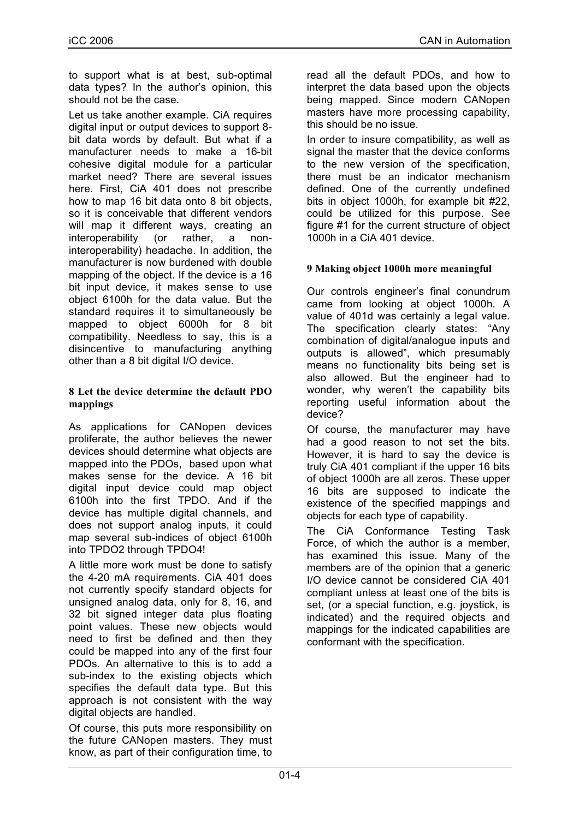to support what is at best, sub-optimal data types? In the author's opinion, this should not be the case.

Let us take another example. CIA requires digital input or output devices to support 8 bit data words by default. But what if a manufacturer needs to make a 16-bit cohesive digital module for a particular market need? There are several issues here. First, CiA 401 does not prescribe how to map 16 bit data onto 8 bit objects, so it is conceivable that different vendors will map it different ways, creating an interoperability (or rather, a noninteroperability) headache. In addition, the manufacturer is now burdened with double mapping of the object. If the device is a 16 bit input device, it makes sense to use object 6100h for the data value. But the standard requires it to simultaneously be mapped to object 6000h for 8 bit compatibility. Needless to say, this is a disincentive to manufacturing anything other than a 8 bit digital I/O device.

#### **8 Let the device determine the default PDO mappings**

As applications for CANopen devices proliferate, the author believes the newer devices should determine what objects are mapped into the PDOs, based upon what makes sense for the device. A 16 bit digital input device could map object 6100h into the first TPDO. And if the device has multiple digital channels, and does not support analog inputs, it could map several sub-indices of object 6100h into TPDO2 through TPDO4!

A little more work must be done to satisfy the 4-20 mA requirements. CiA 401 does not currently specify standard objects for unsigned analog data, only for 8, 16, and 32 bit signed integer data plus floating point values. These new objects would need to first be defined and then they could be mapped into any of the first four PDOs. An alternative to this is to add a sub-index to the existing objects which specifies the default data type. But this approach is not consistent with the way digital objects are handled.

Of course, this puts more responsibility on the future CANopen masters. They must know, as part of their configuration time, to

read all the default PDOs, and how to interpret the data based upon the objects being mapped. Since modern CANopen masters have more processing capability, this should be no issue.

In order to insure compatibility, as well as signal the master that the device conforms to the new version of the specification, there must be an indicator mechanism defined. One of the currently undefined bits in object 1000h, for example bit #22, could be utilized for this purpose. See figure #1 for the current structure of object 1000h in a CiA 401 device.

## **9 Making object 1000h more meaningful**

Our controls engineer's final conundrum came from looking at object 1000h. A value of 401d was certainly a legal value. The specification clearly states: "Any combination of digital/analogue inputs and outputs is allowed", which presumably means no functionality bits being set is also allowed. But the engineer had to wonder, why weren't the capability bits reporting useful information about the device?

Of course, the manufacturer may have had a good reason to not set the bits. However, it is hard to say the device is truly CiA 401 compliant if the upper 16 bits of object 1000h are all zeros. These upper 16 bits are supposed to indicate the existence of the specified mappings and objects for each type of capability.

The CiA Conformance Testing Task Force, of which the author is a member, has examined this issue. Many of the members are of the opinion that a generic I/O device cannot be considered CiA 401 compliant unless at least one of the bits is set, (or a special function, e.g. joystick, is indicated) and the required objects and mappings for the indicated capabilities are conformant with the specification.